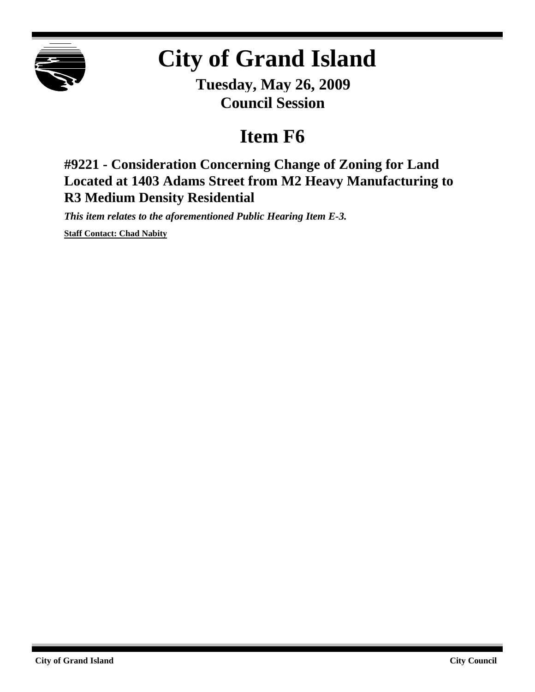

## **City of Grand Island**

**Tuesday, May 26, 2009 Council Session**

## **Item F6**

**#9221 - Consideration Concerning Change of Zoning for Land Located at 1403 Adams Street from M2 Heavy Manufacturing to R3 Medium Density Residential**

*This item relates to the aforementioned Public Hearing Item E-3.*

**Staff Contact: Chad Nabity**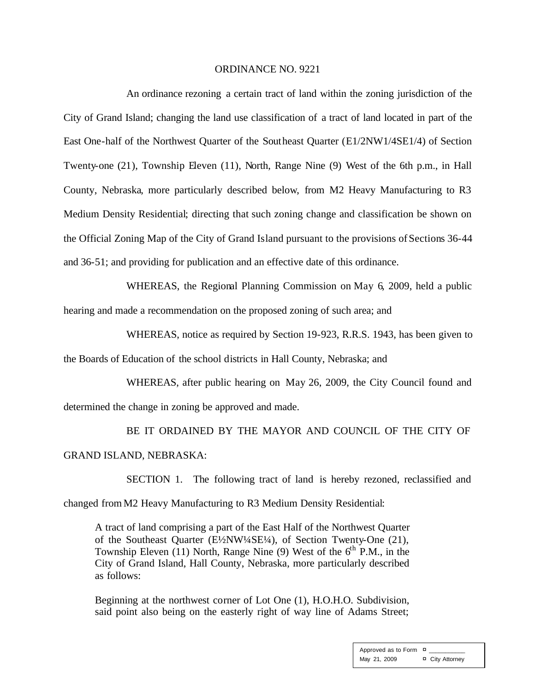## ORDINANCE NO. 9221

An ordinance rezoning a certain tract of land within the zoning jurisdiction of the City of Grand Island; changing the land use classification of a tract of land located in part of the East One-half of the Northwest Quarter of the Southeast Quarter (E1/2NW1/4SE1/4) of Section Twenty-one (21), Township Eleven (11), North, Range Nine (9) West of the 6th p.m., in Hall County, Nebraska, more particularly described below, from M2 Heavy Manufacturing to R3 Medium Density Residential; directing that such zoning change and classification be shown on the Official Zoning Map of the City of Grand Island pursuant to the provisions of Sections 36-44 and 36-51; and providing for publication and an effective date of this ordinance.

WHEREAS, the Regional Planning Commission on May 6, 2009, held a public hearing and made a recommendation on the proposed zoning of such area; and

WHEREAS, notice as required by Section 19-923, R.R.S. 1943, has been given to

the Boards of Education of the school districts in Hall County, Nebraska; and

WHEREAS, after public hearing on May 26, 2009, the City Council found and determined the change in zoning be approved and made.

BE IT ORDAINED BY THE MAYOR AND COUNCIL OF THE CITY OF GRAND ISLAND, NEBRASKA:

SECTION 1. The following tract of land is hereby rezoned, reclassified and changed from M2 Heavy Manufacturing to R3 Medium Density Residential:

A tract of land comprising a part of the East Half of the Northwest Quarter of the Southeast Quarter (E½NW¼SE¼), of Section Twenty-One (21), Township Eleven (11) North, Range Nine (9) West of the  $6<sup>th</sup>$  P.M., in the City of Grand Island, Hall County, Nebraska, more particularly described as follows:

Beginning at the northwest corner of Lot One (1), H.O.H.O. Subdivision, said point also being on the easterly right of way line of Adams Street;